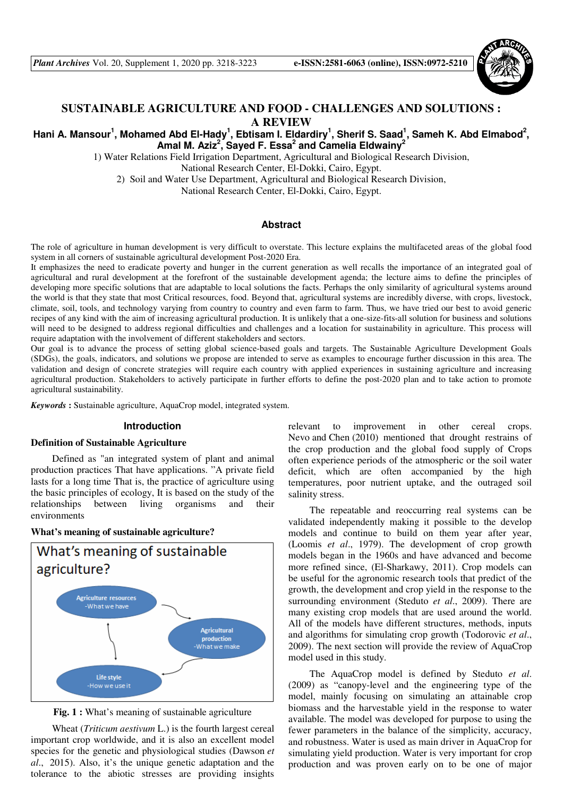

## **SUSTAINABLE AGRICULTURE AND FOOD - CHALLENGES AND SOLUTIONS : A REVIEW**

## Hani A. Mansour<sup>1</sup>, Mohamed Abd El-Hady<sup>1</sup>, Ebtisam I. Eldardiry<sup>1</sup>, Sherif S. Saad<sup>1</sup>, Sameh K. Abd Elmabod<sup>2</sup>, **Amal M. Aziz<sup>2</sup> , Sayed F. Essa<sup>2</sup> and Camelia Eldwainy<sup>2</sup>**

1) Water Relations Field Irrigation Department, Agricultural and Biological Research Division,

National Research Center, El-Dokki, Cairo, Egypt.

2) Soil and Water Use Department, Agricultural and Biological Research Division,

National Research Center, El-Dokki, Cairo, Egypt.

#### **Abstract**

The role of agriculture in human development is very difficult to overstate. This lecture explains the multifaceted areas of the global food system in all corners of sustainable agricultural development Post-2020 Era.

It emphasizes the need to eradicate poverty and hunger in the current generation as well recalls the importance of an integrated goal of agricultural and rural development at the forefront of the sustainable development agenda; the lecture aims to define the principles of developing more specific solutions that are adaptable to local solutions the facts. Perhaps the only similarity of agricultural systems around the world is that they state that most Critical resources, food. Beyond that, agricultural systems are incredibly diverse, with crops, livestock, climate, soil, tools, and technology varying from country to country and even farm to farm. Thus, we have tried our best to avoid generic recipes of any kind with the aim of increasing agricultural production. It is unlikely that a one-size-fits-all solution for business and solutions will need to be designed to address regional difficulties and challenges and a location for sustainability in agriculture. This process will require adaptation with the involvement of different stakeholders and sectors.

Our goal is to advance the process of setting global science-based goals and targets. The Sustainable Agriculture Development Goals (SDGs), the goals, indicators, and solutions we propose are intended to serve as examples to encourage further discussion in this area. The validation and design of concrete strategies will require each country with applied experiences in sustaining agriculture and increasing agricultural production. Stakeholders to actively participate in further efforts to define the post-2020 plan and to take action to promote agricultural sustainability.

*Keywords* **:** Sustainable agriculture, AquaCrop model, integrated system.

### **Introduction**

### **Definition of Sustainable Agriculture**

Defined as "an integrated system of plant and animal production practices That have applications. "A private field lasts for a long time That is, the practice of agriculture using the basic principles of ecology, It is based on the study of the relationships between living organisms and their environments

**What's meaning of sustainable agriculture?** 



Fig. 1 : What's meaning of sustainable agriculture

Wheat (*Triticum aestivum* L.) is the fourth largest cereal important crop worldwide, and it is also an excellent model species for the genetic and physiological studies (Dawson *et al*., 2015). Also, it's the unique genetic adaptation and the tolerance to the abiotic stresses are providing insights relevant to improvement in other cereal crops. Nevo and Chen (2010) mentioned that drought restrains of the crop production and the global food supply of Crops often experience periods of the atmospheric or the soil water deficit, which are often accompanied by the high temperatures, poor nutrient uptake, and the outraged soil salinity stress.

The repeatable and reoccurring real systems can be validated independently making it possible to the develop models and continue to build on them year after year, (Loomis *et al*., 1979). The development of crop growth models began in the 1960s and have advanced and become more refined since, (El-Sharkawy, 2011). Crop models can be useful for the agronomic research tools that predict of the growth, the development and crop yield in the response to the surrounding environment (Steduto *et al*., 2009). There are many existing crop models that are used around the world. All of the models have different structures, methods, inputs and algorithms for simulating crop growth (Todorovic *et al*., 2009). The next section will provide the review of AquaCrop model used in this study.

The AquaCrop model is defined by Steduto *et al*. (2009) as "canopy-level and the engineering type of the model, mainly focusing on simulating an attainable crop biomass and the harvestable yield in the response to water available. The model was developed for purpose to using the fewer parameters in the balance of the simplicity, accuracy, and robustness. Water is used as main driver in AquaCrop for simulating yield production. Water is very important for crop production and was proven early on to be one of major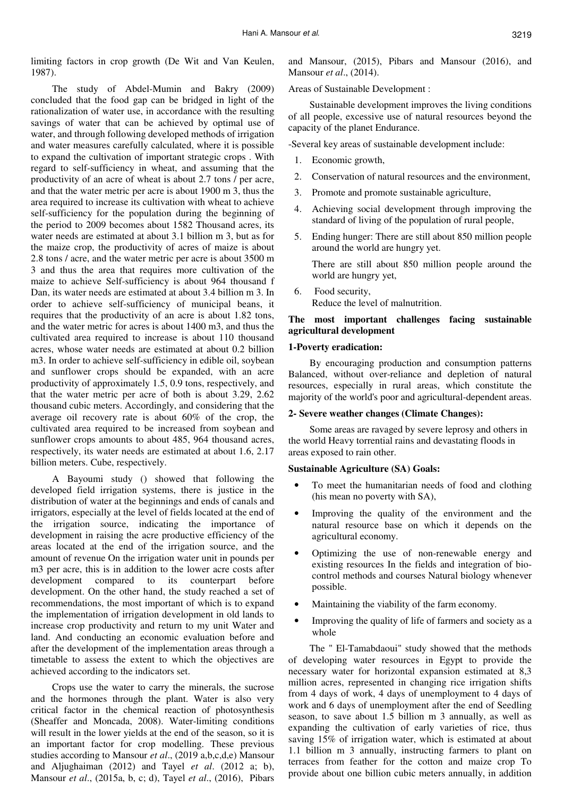limiting factors in crop growth (De Wit and Van Keulen, 1987).

The study of Abdel-Mumin and Bakry (2009) concluded that the food gap can be bridged in light of the rationalization of water use, in accordance with the resulting savings of water that can be achieved by optimal use of water, and through following developed methods of irrigation and water measures carefully calculated, where it is possible to expand the cultivation of important strategic crops . With regard to self-sufficiency in wheat, and assuming that the productivity of an acre of wheat is about 2.7 tons / per acre, and that the water metric per acre is about 1900 m 3, thus the area required to increase its cultivation with wheat to achieve self-sufficiency for the population during the beginning of the period to 2009 becomes about 1582 Thousand acres, its water needs are estimated at about 3.1 billion m 3, but as for the maize crop, the productivity of acres of maize is about 2.8 tons / acre, and the water metric per acre is about 3500 m 3 and thus the area that requires more cultivation of the maize to achieve Self-sufficiency is about 964 thousand f Dan, its water needs are estimated at about 3.4 billion m 3. In order to achieve self-sufficiency of municipal beans, it requires that the productivity of an acre is about 1.82 tons, and the water metric for acres is about 1400 m3, and thus the cultivated area required to increase is about 110 thousand acres, whose water needs are estimated at about 0.2 billion m3. In order to achieve self-sufficiency in edible oil, soybean and sunflower crops should be expanded, with an acre productivity of approximately 1.5, 0.9 tons, respectively, and that the water metric per acre of both is about 3.29, 2.62 thousand cubic meters. Accordingly, and considering that the average oil recovery rate is about 60% of the crop, the cultivated area required to be increased from soybean and sunflower crops amounts to about 485, 964 thousand acres, respectively, its water needs are estimated at about 1.6, 2.17 billion meters. Cube, respectively.

A Bayoumi study () showed that following the developed field irrigation systems, there is justice in the distribution of water at the beginnings and ends of canals and irrigators, especially at the level of fields located at the end of the irrigation source, indicating the importance of development in raising the acre productive efficiency of the areas located at the end of the irrigation source, and the amount of revenue On the irrigation water unit in pounds per m3 per acre, this is in addition to the lower acre costs after development compared to its counterpart before development. On the other hand, the study reached a set of recommendations, the most important of which is to expand the implementation of irrigation development in old lands to increase crop productivity and return to my unit Water and land. And conducting an economic evaluation before and after the development of the implementation areas through a timetable to assess the extent to which the objectives are achieved according to the indicators set.

Crops use the water to carry the minerals, the sucrose and the hormones through the plant. Water is also very critical factor in the chemical reaction of photosynthesis (Sheaffer and Moncada, 2008). Water-limiting conditions will result in the lower yields at the end of the season, so it is an important factor for crop modelling. These previous studies according to Mansour *et al*., (2019 a,b,c,d,e) Mansour and Aljughaiman (2012) and Tayel *et al*. (2012 a; b), Mansour *et al*., (2015a, b, c; d), Tayel *et al*., (2016), Pibars

and Mansour, (2015), Pibars and Mansour (2016), and Mansour *et al*., (2014).

Areas of Sustainable Development :

Sustainable development improves the living conditions of all people, excessive use of natural resources beyond the capacity of the planet Endurance.

-Several key areas of sustainable development include:

- 1. Economic growth,
- 2. Conservation of natural resources and the environment,
- 3. Promote and promote sustainable agriculture,
- 4. Achieving social development through improving the standard of living of the population of rural people,
- 5. Ending hunger: There are still about 850 million people around the world are hungry yet.

There are still about 850 million people around the world are hungry yet,

6. Food security, Reduce the level of malnutrition.

## **The most important challenges facing sustainable agricultural development**

#### **1-Poverty eradication:**

By encouraging production and consumption patterns Balanced, without over-reliance and depletion of natural resources, especially in rural areas, which constitute the majority of the world's poor and agricultural-dependent areas.

#### **2- Severe weather changes (Climate Changes):**

Some areas are ravaged by severe leprosy and others in the world Heavy torrential rains and devastating floods in areas exposed to rain other.

#### **Sustainable Agriculture (SA) Goals:**

- To meet the humanitarian needs of food and clothing (his mean no poverty with SA),
- Improving the quality of the environment and the natural resource base on which it depends on the agricultural economy.
- Optimizing the use of non-renewable energy and existing resources In the fields and integration of biocontrol methods and courses Natural biology whenever possible.
- Maintaining the viability of the farm economy.
- Improving the quality of life of farmers and society as a whole

The " El-Tamabdaoui" study showed that the methods of developing water resources in Egypt to provide the necessary water for horizontal expansion estimated at 8,3 million acres, represented in changing rice irrigation shifts from 4 days of work, 4 days of unemployment to 4 days of work and 6 days of unemployment after the end of Seedling season, to save about 1.5 billion m 3 annually, as well as expanding the cultivation of early varieties of rice, thus saving 15% of irrigation water, which is estimated at about 1.1 billion m 3 annually, instructing farmers to plant on terraces from feather for the cotton and maize crop To provide about one billion cubic meters annually, in addition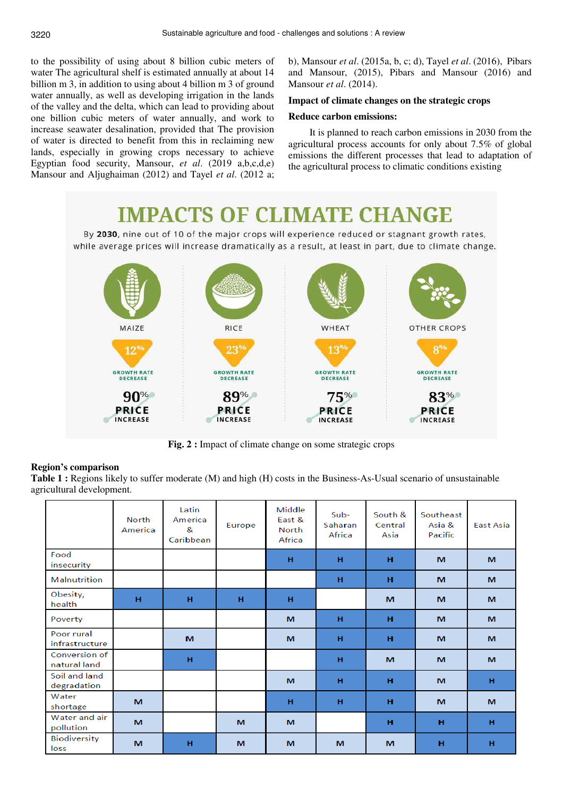to the possibility of using about 8 billion cubic meters of water The agricultural shelf is estimated annually at about 14 billion m 3, in addition to using about 4 billion m 3 of ground water annually, as well as developing irrigation in the lands of the valley and the delta, which can lead to providing about one billion cubic meters of water annually, and work to increase seawater desalination, provided that The provision of water is directed to benefit from this in reclaiming new lands, especially in growing crops necessary to achieve Egyptian food security, Mansour, *et al*. (2019 a,b,c,d,e) Mansour and Aljughaiman (2012) and Tayel *et al*. (2012 a;

b), Mansour *et al*. (2015a, b, c; d), Tayel *et al*. (2016), Pibars and Mansour, (2015), Pibars and Mansour (2016) and Mansour *et al*. (2014).

## **Impact of climate changes on the strategic crops**

#### **Reduce carbon emissions:**

It is planned to reach carbon emissions in 2030 from the agricultural process accounts for only about 7.5% of global emissions the different processes that lead to adaptation of the agricultural process to climatic conditions existing

# **IMPACTS OF CLIMATE CHANGE**

By 2030, nine out of 10 of the major crops will experience reduced or stagnant growth rates, while average prices will increase dramatically as a result, at least in part, due to climate change.



**Fig. 2 :** Impact of climate change on some strategic crops

## **Region's comparison**

**Table 1 :** Regions likely to suffer moderate (M) and high (H) costs in the Business-As-Usual scenario of unsustainable agricultural development.

|                               | <b>North</b><br>America | Latin<br>America<br>&<br>Caribbean | Europe   | Middle<br>East &<br>North<br>Africa | Sub-<br>Saharan<br>Africa | South &<br>Central<br>Asia | Southeast<br>Asia &<br>Pacific | <b>East Asia</b> |
|-------------------------------|-------------------------|------------------------------------|----------|-------------------------------------|---------------------------|----------------------------|--------------------------------|------------------|
| Food<br>insecurity            |                         |                                    |          | н                                   | н                         | н                          | M                              | M                |
| Malnutrition                  |                         |                                    |          |                                     | н                         | н                          | M                              | M                |
| Obesity,<br>health            | H                       | H                                  | H        | H                                   |                           | M                          | M                              | M                |
| Poverty                       |                         |                                    |          | M                                   | н                         | н                          | M                              | M                |
| Poor rural<br>infrastructure  |                         | M                                  |          | M                                   | н                         | н                          | M                              | M                |
| Conversion of<br>natural land |                         | H                                  |          |                                     | H                         | M                          | M                              | M                |
| Soil and land<br>degradation  |                         |                                    |          | M                                   | H                         | H                          | M                              | H                |
| Water<br>shortage             | M                       |                                    |          | н                                   | н                         | н                          | M                              | M                |
| Water and air<br>pollution    | M                       |                                    | M        | M                                   |                           | н                          | H                              | н                |
| <b>Biodiversity</b><br>loss   | M                       | H                                  | <b>M</b> | M                                   | M                         | M                          | H                              | н                |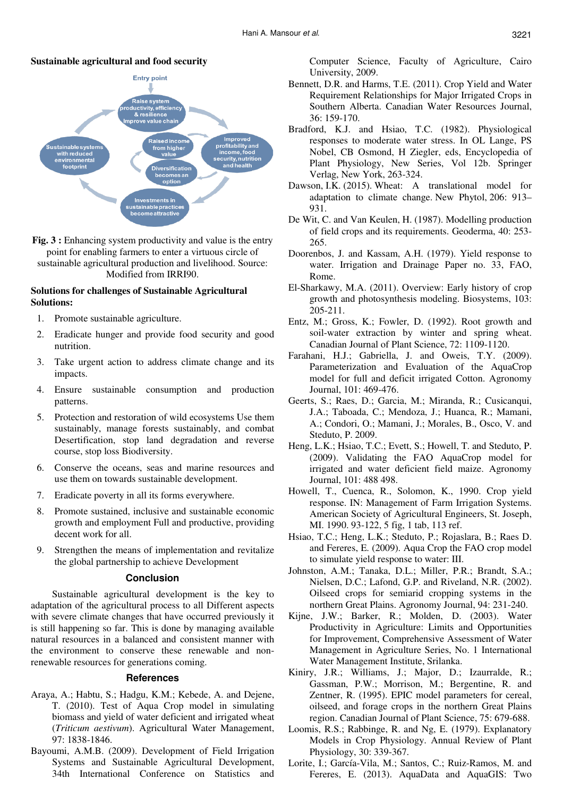## **Sustainable agricultural and food security**



**Fig. 3 :** Enhancing system productivity and value is the entry point for enabling farmers to enter a virtuous circle of sustainable agricultural production and livelihood. Source: Modified from IRRI90.

## **Solutions for challenges of Sustainable Agricultural Solutions:**

- 1. Promote sustainable agriculture.
- 2. Eradicate hunger and provide food security and good nutrition.
- 3. Take urgent action to address climate change and its impacts.
- 4. Ensure sustainable consumption and production patterns.
- 5. Protection and restoration of wild ecosystems Use them sustainably, manage forests sustainably, and combat Desertification, stop land degradation and reverse course, stop loss Biodiversity.
- 6. Conserve the oceans, seas and marine resources and use them on towards sustainable development.
- 7. Eradicate poverty in all its forms everywhere.
- 8. Promote sustained, inclusive and sustainable economic growth and employment Full and productive, providing decent work for all.
- 9. Strengthen the means of implementation and revitalize the global partnership to achieve Development

#### **Conclusion**

Sustainable agricultural development is the key to adaptation of the agricultural process to all Different aspects with severe climate changes that have occurred previously it is still happening so far. This is done by managing available natural resources in a balanced and consistent manner with the environment to conserve these renewable and nonrenewable resources for generations coming.

#### **References**

- Araya, A.; Habtu, S.; Hadgu, K.M.; Kebede, A. and Dejene, T. (2010). Test of Aqua Crop model in simulating biomass and yield of water deficient and irrigated wheat (*Triticum aestivum*). Agricultural Water Management, 97: 1838-1846.
- Bayoumi, A.M.B. (2009). Development of Field Irrigation Systems and Sustainable Agricultural Development, 34th International Conference on Statistics and

Computer Science, Faculty of Agriculture, Cairo University, 2009.

- Bennett, D.R. and Harms, T.E. (2011). Crop Yield and Water Requirement Relationships for Major Irrigated Crops in Southern Alberta. Canadian Water Resources Journal, 36: 159-170.
- Bradford, K.J. and Hsiao, T.C. (1982). Physiological responses to moderate water stress. In OL Lange, PS Nobel, CB Osmond, H Ziegler, eds, Encyclopedia of Plant Physiology, New Series, Vol 12b. Springer Verlag, New York, 263-324.
- Dawson, I.K. (2015). Wheat: A translational model for adaptation to climate change. New Phytol, 206: 913– 931.
- De Wit, C. and Van Keulen, H. (1987). Modelling production of field crops and its requirements. Geoderma, 40: 253- 265.
- Doorenbos, J. and Kassam, A.H. (1979). Yield response to water. Irrigation and Drainage Paper no. 33, FAO, Rome.
- El-Sharkawy, M.A. (2011). Overview: Early history of crop growth and photosynthesis modeling. Biosystems, 103: 205-211.
- Entz, M.; Gross, K.; Fowler, D. (1992). Root growth and soil-water extraction by winter and spring wheat. Canadian Journal of Plant Science, 72: 1109-1120.
- Farahani, H.J.; Gabriella, J. and Oweis, T.Y. (2009). Parameterization and Evaluation of the AquaCrop model for full and deficit irrigated Cotton. Agronomy Journal, 101: 469-476.
- Geerts, S.; Raes, D.; Garcia, M.; Miranda, R.; Cusicanqui, J.A.; Taboada, C.; Mendoza, J.; Huanca, R.; Mamani, A.; Condori, O.; Mamani, J.; Morales, B., Osco, V. and Steduto, P. 2009.
- Heng, L.K.; Hsiao, T.C.; Evett, S.; Howell, T. and Steduto, P. (2009). Validating the FAO AquaCrop model for irrigated and water deficient field maize. Agronomy Journal, 101: 488 498.
- Howell, T., Cuenca, R., Solomon, K., 1990. Crop yield response. IN: Management of Farm Irrigation Systems. American Society of Agricultural Engineers, St. Joseph, MI. 1990. 93-122, 5 fig, 1 tab, 113 ref.
- Hsiao, T.C.; Heng, L.K.; Steduto, P.; Rojaslara, B.; Raes D. and Fereres, E. (2009). Aqua Crop the FAO crop model to simulate yield response to water: III.
- Johnston, A.M.; Tanaka, D.L.; Miller, P.R.; Brandt, S.A.; Nielsen, D.C.; Lafond, G.P. and Riveland, N.R. (2002). Oilseed crops for semiarid cropping systems in the northern Great Plains. Agronomy Journal, 94: 231-240.
- Kijne, J.W.; Barker, R.; Molden, D. (2003). Water Productivity in Agriculture: Limits and Opportunities for Improvement, Comprehensive Assessment of Water Management in Agriculture Series, No. 1 International Water Management Institute, Srilanka.
- Kiniry, J.R.; Williams, J.; Major, D.; Izaurralde, R.; Gassman, P.W.; Morrison, M.; Bergentine, R. and Zentner, R. (1995). EPIC model parameters for cereal, oilseed, and forage crops in the northern Great Plains region. Canadian Journal of Plant Science, 75: 679-688.
- Loomis, R.S.; Rabbinge, R. and Ng, E. (1979). Explanatory Models in Crop Physiology. Annual Review of Plant Physiology, 30: 339-367.
- Lorite, I.; García-Vila, M.; Santos, C.; Ruiz-Ramos, M. and Fereres, E. (2013). AquaData and AquaGIS: Two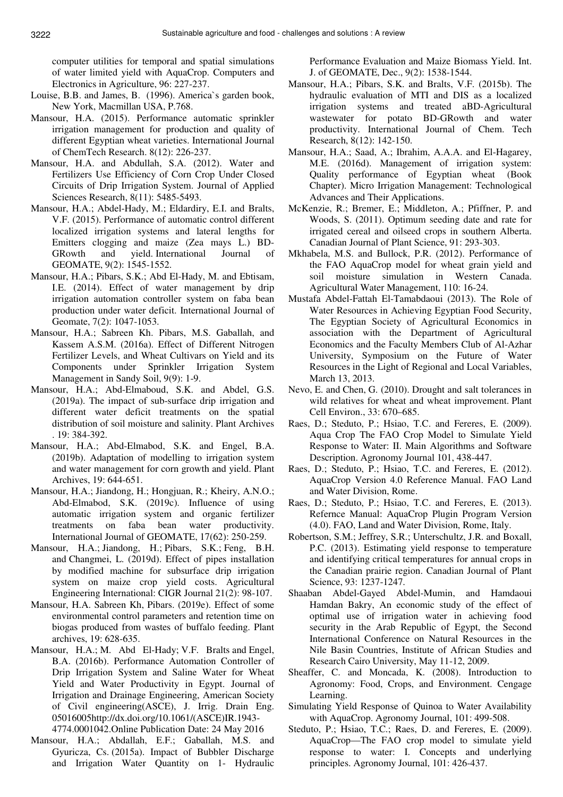computer utilities for temporal and spatial simulations of water limited yield with AquaCrop. Computers and Electronics in Agriculture, 96: 227-237.

- Louise, B.B. and James, B. (1996). America`s garden book, New York, Macmillan USA, P.768.
- Mansour, H.A. (2015). Performance automatic sprinkler irrigation management for production and quality of different Egyptian wheat varieties. International Journal of ChemTech Research. 8(12): 226-237.
- Mansour, H.A. and Abdullah, S.A. (2012). Water and Fertilizers Use Efficiency of Corn Crop Under Closed Circuits of Drip Irrigation System. Journal of Applied Sciences Research, 8(11): 5485-5493.
- Mansour, H.A.; Abdel-Hady, M.; Eldardiry, E.I. and Bralts, V.F. (2015). Performance of automatic control different localized irrigation systems and lateral lengths for Emitters clogging and maize (Zea mays L.) BD-GRowth and yield. International Journal of GEOMATE, 9(2): 1545-1552.
- Mansour, H.A.; Pibars, S.K.; Abd El-Hady, M. and Ebtisam, I.E. (2014). Effect of water management by drip irrigation automation controller system on faba bean production under water deficit. International Journal of Geomate, 7(2): 1047-1053.
- Mansour, H.A.; Sabreen Kh. Pibars, M.S. Gaballah, and Kassem A.S.M. (2016a). Effect of Different Nitrogen Fertilizer Levels, and Wheat Cultivars on Yield and its Components under Sprinkler Irrigation System Management in Sandy Soil, 9(9): 1-9.
- Mansour, H.A.; Abd-Elmaboud, S.K. and Abdel, G.S. (2019a). The impact of sub-surface drip irrigation and different water deficit treatments on the spatial distribution of soil moisture and salinity. Plant Archives . 19: 384-392.
- Mansour, H.A.; Abd-Elmabod, S.K. and Engel, B.A. (2019b). Adaptation of modelling to irrigation system and water management for corn growth and yield. Plant Archives, 19: 644-651.
- Mansour, H.A.; Jiandong, H.; Hongjuan, R.; Kheiry, A.N.O.; Abd-Elmabod, S.K. (2019c). Influence of using automatic irrigation system and organic fertilizer treatments on faba bean water productivity. International Journal of GEOMATE, 17(62): 250-259.
- Mansour, H.A.; Jiandong, H.; Pibars, S.K.; Feng, B.H. and Changmei, L. (2019d). Effect of pipes installation by modified machine for subsurface drip irrigation system on maize crop yield costs. Agricultural Engineering International: CIGR Journal 21(2): 98-107.
- Mansour, H.A. Sabreen Kh, Pibars. (2019e). Effect of some environmental control parameters and retention time on biogas produced from wastes of buffalo feeding. Plant archives, 19: 628-635.
- Mansour, H.A.; M. Abd El-Hady; V.F. Bralts and Engel, B.A. (2016b). Performance Automation Controller of Drip Irrigation System and Saline Water for Wheat Yield and Water Productivity in Egypt. Journal of Irrigation and Drainage Engineering, American Society of Civil engineering(ASCE), J. Irrig. Drain Eng. 05016005http://dx.doi.org/10.1061/(ASCE)IR.1943- 4774.0001042.Online Publication Date: 24 May 2016
- Mansour, H.A.; Abdallah, E.F.; Gaballah, M.S. and Gyuricza, Cs. (2015a). Impact of Bubbler Discharge and Irrigation Water Quantity on 1- Hydraulic

Performance Evaluation and Maize Biomass Yield. Int. J. of GEOMATE, Dec., 9(2): 1538-1544.

- Mansour, H.A.; Pibars, S.K. and Bralts, V.F. (2015b). The hydraulic evaluation of MTI and DIS as a localized irrigation systems and treated aBD-Agricultural wastewater for potato BD-GRowth and water productivity. International Journal of Chem. Tech Research, 8(12): 142-150.
- Mansour, H.A.; Saad, A.; Ibrahim, A.A.A. and El-Hagarey, M.E. (2016d). Management of irrigation system: Quality performance of Egyptian wheat (Book Chapter). Micro Irrigation Management: Technological Advances and Their Applications.
- McKenzie, R.; Bremer, E.; Middleton, A.; Pfiffner, P. and Woods, S. (2011). Optimum seeding date and rate for irrigated cereal and oilseed crops in southern Alberta. Canadian Journal of Plant Science, 91: 293-303.
- Mkhabela, M.S. and Bullock, P.R. (2012). Performance of the FAO AquaCrop model for wheat grain yield and soil moisture simulation in Western Canada. Agricultural Water Management, 110: 16-24.
- Mustafa Abdel-Fattah El-Tamabdaoui (2013). The Role of Water Resources in Achieving Egyptian Food Security, The Egyptian Society of Agricultural Economics in association with the Department of Agricultural Economics and the Faculty Members Club of Al-Azhar University, Symposium on the Future of Water Resources in the Light of Regional and Local Variables, March 13, 2013.
- Nevo, E. and Chen, G. (2010). Drought and salt tolerances in wild relatives for wheat and wheat improvement. Plant Cell Environ., 33: 670–685.
- Raes, D.; Steduto, P.; Hsiao, T.C. and Fereres, E. (2009). Aqua Crop The FAO Crop Model to Simulate Yield Response to Water: II. Main Algorithms and Software Description. Agronomy Journal 101, 438-447.
- Raes, D.; Steduto, P.; Hsiao, T.C. and Fereres, E. (2012). AquaCrop Version 4.0 Reference Manual. FAO Land and Water Division, Rome.
- Raes, D.; Steduto, P.; Hsiao, T.C. and Fereres, E. (2013). Refernce Manual: AquaCrop Plugin Program Version (4.0). FAO, Land and Water Division, Rome, Italy.
- Robertson, S.M.; Jeffrey, S.R.; Unterschultz, J.R. and Boxall, P.C. (2013). Estimating yield response to temperature and identifying critical temperatures for annual crops in the Canadian prairie region. Canadian Journal of Plant Science, 93: 1237-1247.
- Shaaban Abdel-Gayed Abdel-Mumin, and Hamdaoui Hamdan Bakry, An economic study of the effect of optimal use of irrigation water in achieving food security in the Arab Republic of Egypt, the Second International Conference on Natural Resources in the Nile Basin Countries, Institute of African Studies and Research Cairo University, May 11-12, 2009.
- Sheaffer, C. and Moncada, K. (2008). Introduction to Agronomy: Food, Crops, and Environment. Cengage Learning.
- Simulating Yield Response of Quinoa to Water Availability with AquaCrop. Agronomy Journal, 101: 499-508.
- Steduto, P.; Hsiao, T.C.; Raes, D. and Fereres, E. (2009). AquaCrop—The FAO crop model to simulate yield response to water: I. Concepts and underlying principles. Agronomy Journal, 101: 426-437.